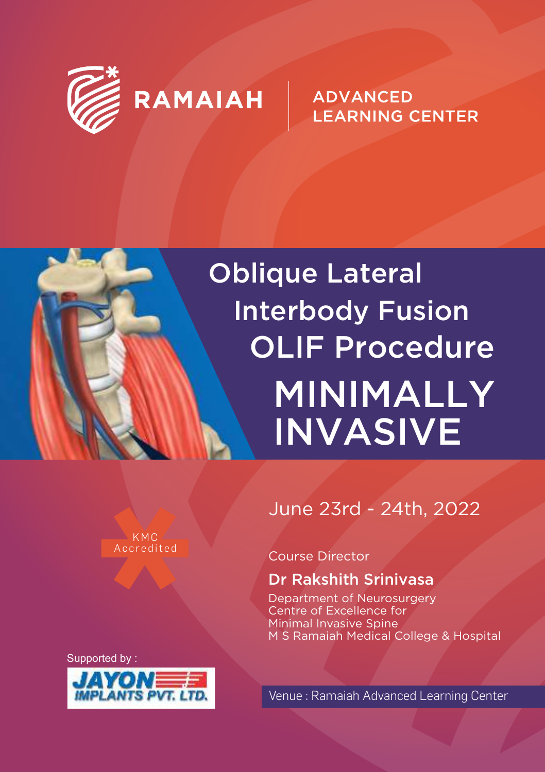

**ADVANCED LEARNING CENTER** 

## Oblique Lateral Interbody Fusion OLIF Procedure MINIMALLY INVASIVE

**Accredited** KMC

Supported by :



#### June 23rd - 24th, 2022

#### Course Director

#### Dr Rakshith Srinivasa

Department of Neurosurgery Centre of Excellence for Minimal Invasive Spine M S Ramaiah Medical College & Hospital

Venue : Ramaiah Advanced Learning Center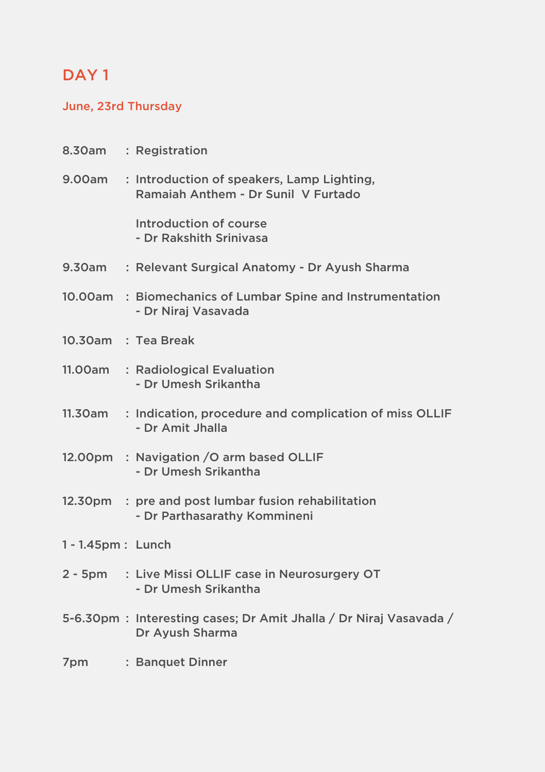#### DAY<sub>1</sub>

#### June, 23rd Thursday

|                      | 8.30am : Registration                                                                    |  |  |  |
|----------------------|------------------------------------------------------------------------------------------|--|--|--|
|                      | 9.00am : Introduction of speakers, Lamp Lighting,<br>Ramaiah Anthem - Dr Sunil V Furtado |  |  |  |
|                      | Introduction of course<br>- Dr Rakshith Srinivasa                                        |  |  |  |
| 9.30am               | : Relevant Surgical Anatomy - Dr Ayush Sharma                                            |  |  |  |
|                      | 10.00am : Biomechanics of Lumbar Spine and Instrumentation<br>- Dr Niraj Vasavada        |  |  |  |
|                      | 10.30am : Tea Break                                                                      |  |  |  |
|                      | 11.00am : Radiological Evaluation<br>- Dr Umesh Srikantha                                |  |  |  |
|                      | 11.30am : Indication, procedure and complication of miss OLLIF<br>- Dr Amit Jhalla       |  |  |  |
|                      | 12.00pm : Navigation /O arm based OLLIF<br>- Dr Umesh Srikantha                          |  |  |  |
|                      | 12.30pm : pre and post lumbar fusion rehabilitation<br>- Dr Parthasarathy Kommineni      |  |  |  |
| $1 - 1.45$ pm: Lunch |                                                                                          |  |  |  |
|                      | 2 - 5pm : Live Missi OLLIF case in Neurosurgery OT<br>- Dr Umesh Srikantha               |  |  |  |
|                      | 5-6.30pm: Interesting cases; Dr Amit Jhalla / Dr Niraj Vasavada /<br>Dr Ayush Sharma     |  |  |  |
| 7pm                  | : Banquet Dinner                                                                         |  |  |  |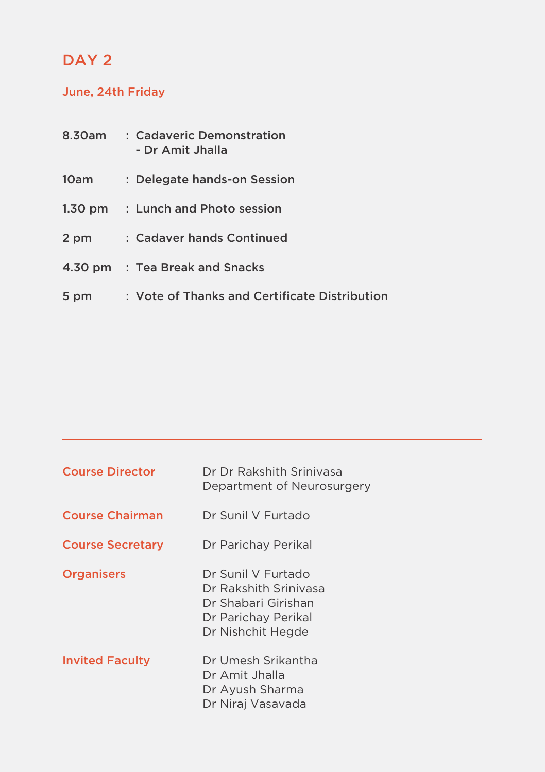#### DAY<sub>2</sub>

#### June, 24th Friday

| 8.30am            | : Cadaveric Demonstration<br>- Dr Amit Jhalla |
|-------------------|-----------------------------------------------|
| 10am              | : Delegate hands-on Session                   |
| $1.30 \text{ pm}$ | : Lunch and Photo session                     |
| 2 pm              | : Cadaver hands Continued                     |
|                   | 4.30 pm : Tea Break and Snacks                |
| 5 pm              | : Vote of Thanks and Certificate Distribution |

| <b>Course Director</b>  | Dr Dr Rakshith Sriniyasa<br>Department of Neurosurgery                                                         |  |  |  |
|-------------------------|----------------------------------------------------------------------------------------------------------------|--|--|--|
| <b>Course Chairman</b>  | Dr Sunil V Eurtado                                                                                             |  |  |  |
| <b>Course Secretary</b> | Dr Parichay Perikal                                                                                            |  |  |  |
| <b>Organisers</b>       | Dr Sunil V Furtado<br>Dr Rakshith Sriniyasa<br>Dr Shabari Girishan<br>Dr Parichay Perikal<br>Dr Nishchit Hegde |  |  |  |
| <b>Invited Faculty</b>  | Dr Umesh Srikantha<br>Dr Amit Jhalla<br>Dr Ayush Sharma<br>Dr Niraj Vasavada                                   |  |  |  |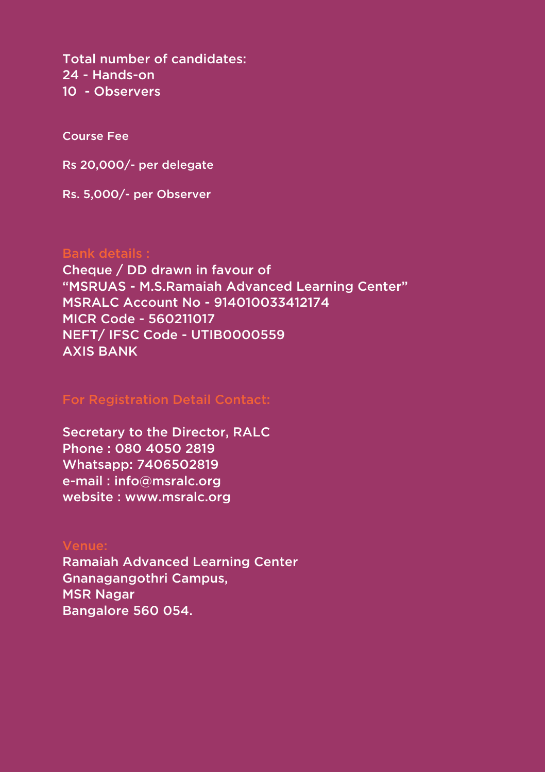Total number of candidates: 24 - Hands-on 10 - Observers

Course Fee

Rs 20,000/- per delegate

Rs. 5,000/- per Observer

#### Bank details :

Cheque / DD drawn in favour of "MSRUAS - M.S.Ramaiah Advanced Learning Center" MSRALC Account No - 914010033412174 MICR Code - 560211017 NEFT/ IFSC Code - UTIB0000559 AXIS BANK

Secretary to the Director, RALC Phone : 080 4050 2819 Whatsapp: 7406502819 e-mail : info@msralc.org website : www.msralc.org

#### Venue:

Ramaiah Advanced Learning Center Gnanagangothri Campus, MSR Nagar Bangalore 560 054.